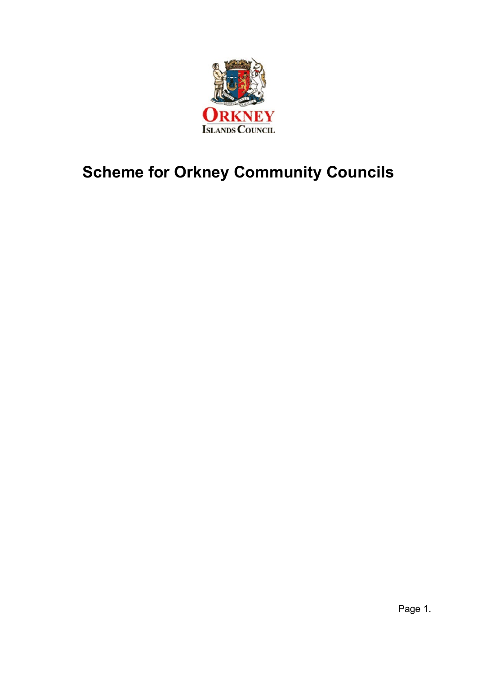

# <span id="page-0-0"></span>**Scheme for Orkney Community Councils**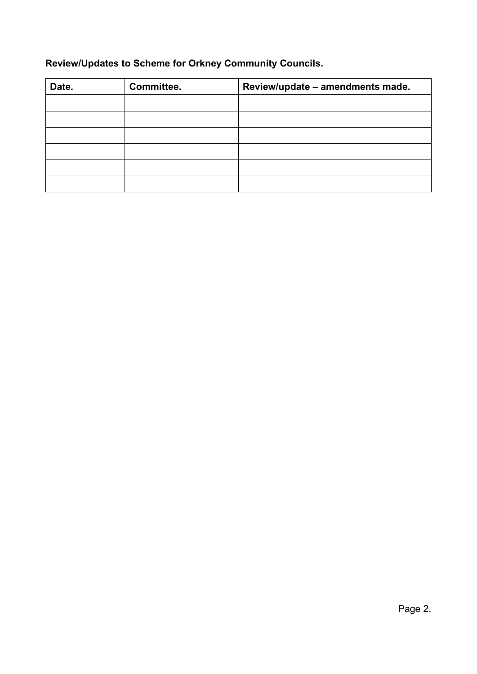### **Review/Updates to Scheme for Orkney Community Councils.**

| Date. | Committee. | Review/update - amendments made. |
|-------|------------|----------------------------------|
|       |            |                                  |
|       |            |                                  |
|       |            |                                  |
|       |            |                                  |
|       |            |                                  |
|       |            |                                  |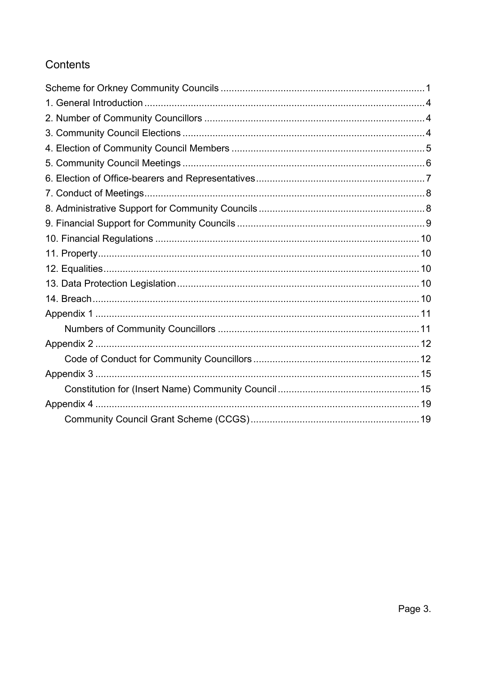### Contents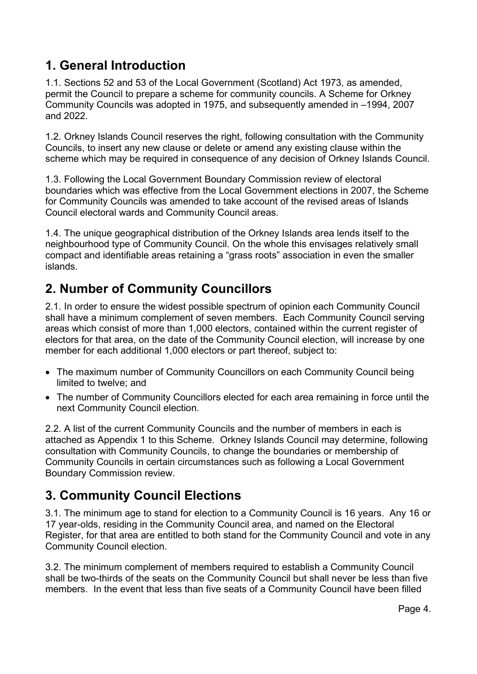### <span id="page-3-0"></span>**1. General Introduction**

1.1. Sections 52 and 53 of the Local Government (Scotland) Act 1973, as amended, permit the Council to prepare a scheme for community councils. A Scheme for Orkney Community Councils was adopted in 1975, and subsequently amended in –1994, 2007 and 2022.

1.2. Orkney Islands Council reserves the right, following consultation with the Community Councils, to insert any new clause or delete or amend any existing clause within the scheme which may be required in consequence of any decision of Orkney Islands Council.

1.3. Following the Local Government Boundary Commission review of electoral boundaries which was effective from the Local Government elections in 2007, the Scheme for Community Councils was amended to take account of the revised areas of Islands Council electoral wards and Community Council areas.

1.4. The unique geographical distribution of the Orkney Islands area lends itself to the neighbourhood type of Community Council. On the whole this envisages relatively small compact and identifiable areas retaining a "grass roots" association in even the smaller islands.

## <span id="page-3-1"></span>**2. Number of Community Councillors**

2.1. In order to ensure the widest possible spectrum of opinion each Community Council shall have a minimum complement of seven members. Each Community Council serving areas which consist of more than 1,000 electors, contained within the current register of electors for that area, on the date of the Community Council election, will increase by one member for each additional 1,000 electors or part thereof, subject to:

- The maximum number of Community Councillors on each Community Council being limited to twelve; and
- The number of Community Councillors elected for each area remaining in force until the next Community Council election.

2.2. A list of the current Community Councils and the number of members in each is attached as Appendix 1 to this Scheme. Orkney Islands Council may determine, following consultation with Community Councils, to change the boundaries or membership of Community Councils in certain circumstances such as following a Local Government Boundary Commission review.

# <span id="page-3-2"></span>**3. Community Council Elections**

3.1. The minimum age to stand for election to a Community Council is 16 years. Any 16 or 17 year-olds, residing in the Community Council area, and named on the Electoral Register, for that area are entitled to both stand for the Community Council and vote in any Community Council election.

3.2. The minimum complement of members required to establish a Community Council shall be two-thirds of the seats on the Community Council but shall never be less than five members. In the event that less than five seats of a Community Council have been filled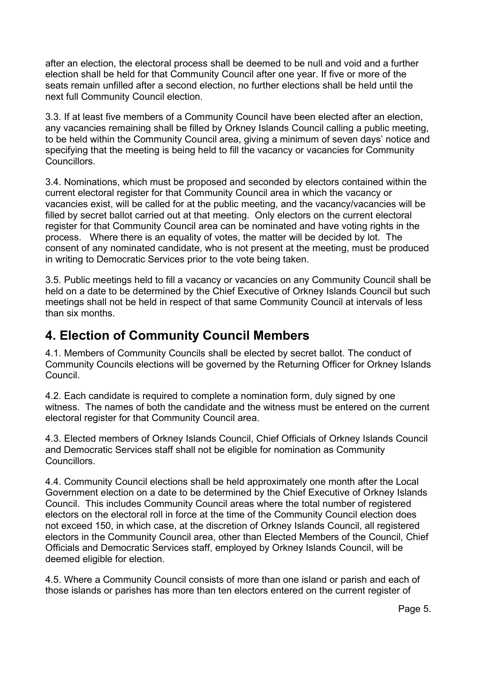after an election, the electoral process shall be deemed to be null and void and a further election shall be held for that Community Council after one year. If five or more of the seats remain unfilled after a second election, no further elections shall be held until the next full Community Council election.

3.3. If at least five members of a Community Council have been elected after an election, any vacancies remaining shall be filled by Orkney Islands Council calling a public meeting, to be held within the Community Council area, giving a minimum of seven days' notice and specifying that the meeting is being held to fill the vacancy or vacancies for Community Councillors.

3.4. Nominations, which must be proposed and seconded by electors contained within the current electoral register for that Community Council area in which the vacancy or vacancies exist, will be called for at the public meeting, and the vacancy/vacancies will be filled by secret ballot carried out at that meeting. Only electors on the current electoral register for that Community Council area can be nominated and have voting rights in the process. Where there is an equality of votes, the matter will be decided by lot. The consent of any nominated candidate, who is not present at the meeting, must be produced in writing to Democratic Services prior to the vote being taken.

3.5. Public meetings held to fill a vacancy or vacancies on any Community Council shall be held on a date to be determined by the Chief Executive of Orkney Islands Council but such meetings shall not be held in respect of that same Community Council at intervals of less than six months.

### <span id="page-4-0"></span>**4. Election of Community Council Members**

4.1. Members of Community Councils shall be elected by secret ballot. The conduct of Community Councils elections will be governed by the Returning Officer for Orkney Islands Council.

4.2. Each candidate is required to complete a nomination form, duly signed by one witness. The names of both the candidate and the witness must be entered on the current electoral register for that Community Council area.

4.3. Elected members of Orkney Islands Council, Chief Officials of Orkney Islands Council and Democratic Services staff shall not be eligible for nomination as Community **Councillors** 

4.4. Community Council elections shall be held approximately one month after the Local Government election on a date to be determined by the Chief Executive of Orkney Islands Council. This includes Community Council areas where the total number of registered electors on the electoral roll in force at the time of the Community Council election does not exceed 150, in which case, at the discretion of Orkney Islands Council, all registered electors in the Community Council area, other than Elected Members of the Council, Chief Officials and Democratic Services staff, employed by Orkney Islands Council, will be deemed eligible for election.

4.5. Where a Community Council consists of more than one island or parish and each of those islands or parishes has more than ten electors entered on the current register of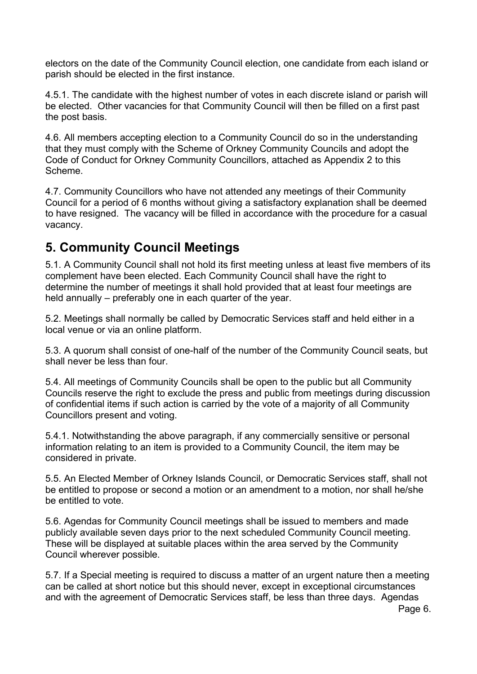electors on the date of the Community Council election, one candidate from each island or parish should be elected in the first instance.

4.5.1. The candidate with the highest number of votes in each discrete island or parish will be elected. Other vacancies for that Community Council will then be filled on a first past the post basis.

4.6. All members accepting election to a Community Council do so in the understanding that they must comply with the Scheme of Orkney Community Councils and adopt the Code of Conduct for Orkney Community Councillors, attached as Appendix 2 to this Scheme.

4.7. Community Councillors who have not attended any meetings of their Community Council for a period of 6 months without giving a satisfactory explanation shall be deemed to have resigned. The vacancy will be filled in accordance with the procedure for a casual vacancy.

### <span id="page-5-0"></span>**5. Community Council Meetings**

5.1. A Community Council shall not hold its first meeting unless at least five members of its complement have been elected. Each Community Council shall have the right to determine the number of meetings it shall hold provided that at least four meetings are held annually – preferably one in each quarter of the year.

5.2. Meetings shall normally be called by Democratic Services staff and held either in a local venue or via an online platform.

5.3. A quorum shall consist of one-half of the number of the Community Council seats, but shall never be less than four.

5.4. All meetings of Community Councils shall be open to the public but all Community Councils reserve the right to exclude the press and public from meetings during discussion of confidential items if such action is carried by the vote of a majority of all Community Councillors present and voting.

5.4.1. Notwithstanding the above paragraph, if any commercially sensitive or personal information relating to an item is provided to a Community Council, the item may be considered in private.

5.5. An Elected Member of Orkney Islands Council, or Democratic Services staff, shall not be entitled to propose or second a motion or an amendment to a motion, nor shall he/she be entitled to vote.

5.6. Agendas for Community Council meetings shall be issued to members and made publicly available seven days prior to the next scheduled Community Council meeting. These will be displayed at suitable places within the area served by the Community Council wherever possible.

5.7. If a Special meeting is required to discuss a matter of an urgent nature then a meeting can be called at short notice but this should never, except in exceptional circumstances and with the agreement of Democratic Services staff, be less than three days. Agendas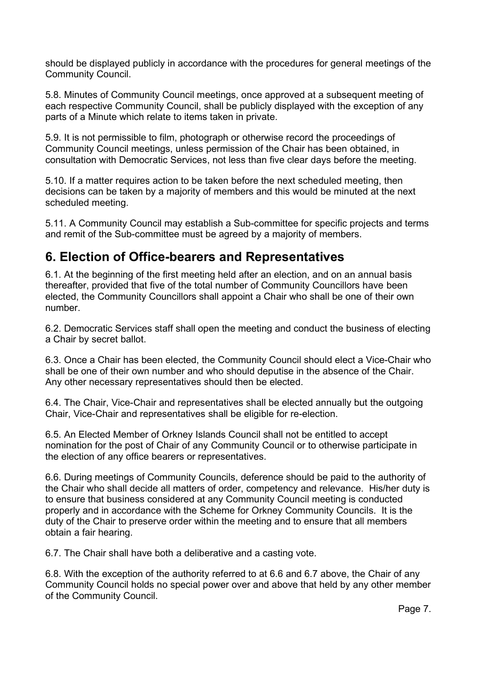should be displayed publicly in accordance with the procedures for general meetings of the Community Council.

5.8. Minutes of Community Council meetings, once approved at a subsequent meeting of each respective Community Council, shall be publicly displayed with the exception of any parts of a Minute which relate to items taken in private.

5.9. It is not permissible to film, photograph or otherwise record the proceedings of Community Council meetings, unless permission of the Chair has been obtained, in consultation with Democratic Services, not less than five clear days before the meeting.

5.10. If a matter requires action to be taken before the next scheduled meeting, then decisions can be taken by a majority of members and this would be minuted at the next scheduled meeting.

5.11. A Community Council may establish a Sub-committee for specific projects and terms and remit of the Sub-committee must be agreed by a majority of members.

### <span id="page-6-0"></span>**6. Election of Office-bearers and Representatives**

6.1. At the beginning of the first meeting held after an election, and on an annual basis thereafter, provided that five of the total number of Community Councillors have been elected, the Community Councillors shall appoint a Chair who shall be one of their own number.

6.2. Democratic Services staff shall open the meeting and conduct the business of electing a Chair by secret ballot.

6.3. Once a Chair has been elected, the Community Council should elect a Vice-Chair who shall be one of their own number and who should deputise in the absence of the Chair. Any other necessary representatives should then be elected.

6.4. The Chair, Vice-Chair and representatives shall be elected annually but the outgoing Chair, Vice-Chair and representatives shall be eligible for re-election.

6.5. An Elected Member of Orkney Islands Council shall not be entitled to accept nomination for the post of Chair of any Community Council or to otherwise participate in the election of any office bearers or representatives.

6.6. During meetings of Community Councils, deference should be paid to the authority of the Chair who shall decide all matters of order, competency and relevance. His/her duty is to ensure that business considered at any Community Council meeting is conducted properly and in accordance with the Scheme for Orkney Community Councils. It is the duty of the Chair to preserve order within the meeting and to ensure that all members obtain a fair hearing.

6.7. The Chair shall have both a deliberative and a casting vote.

6.8. With the exception of the authority referred to at 6.6 and 6.7 above, the Chair of any Community Council holds no special power over and above that held by any other member of the Community Council.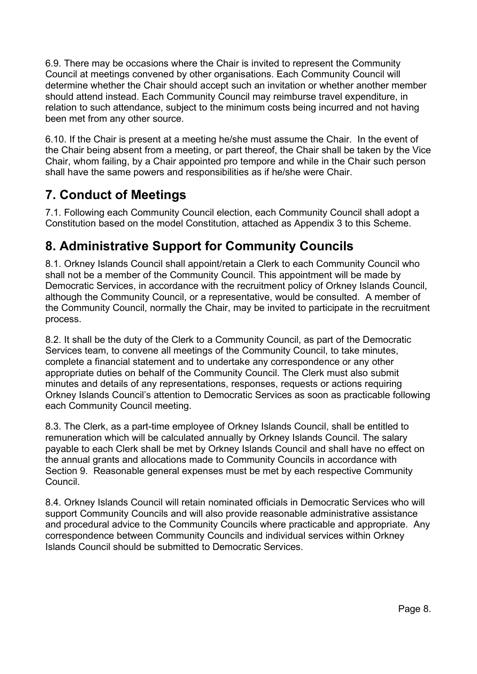6.9. There may be occasions where the Chair is invited to represent the Community Council at meetings convened by other organisations. Each Community Council will determine whether the Chair should accept such an invitation or whether another member should attend instead. Each Community Council may reimburse travel expenditure, in relation to such attendance, subject to the minimum costs being incurred and not having been met from any other source.

6.10. If the Chair is present at a meeting he/she must assume the Chair. In the event of the Chair being absent from a meeting, or part thereof, the Chair shall be taken by the Vice Chair, whom failing, by a Chair appointed pro tempore and while in the Chair such person shall have the same powers and responsibilities as if he/she were Chair.

## <span id="page-7-0"></span>**7. Conduct of Meetings**

7.1. Following each Community Council election, each Community Council shall adopt a Constitution based on the model Constitution, attached as Appendix 3 to this Scheme.

## <span id="page-7-1"></span>**8. Administrative Support for Community Councils**

8.1. Orkney Islands Council shall appoint/retain a Clerk to each Community Council who shall not be a member of the Community Council. This appointment will be made by Democratic Services, in accordance with the recruitment policy of Orkney Islands Council, although the Community Council, or a representative, would be consulted. A member of the Community Council, normally the Chair, may be invited to participate in the recruitment process.

8.2. It shall be the duty of the Clerk to a Community Council, as part of the Democratic Services team, to convene all meetings of the Community Council, to take minutes, complete a financial statement and to undertake any correspondence or any other appropriate duties on behalf of the Community Council. The Clerk must also submit minutes and details of any representations, responses, requests or actions requiring Orkney Islands Council's attention to Democratic Services as soon as practicable following each Community Council meeting.

8.3. The Clerk, as a part-time employee of Orkney Islands Council, shall be entitled to remuneration which will be calculated annually by Orkney Islands Council. The salary payable to each Clerk shall be met by Orkney Islands Council and shall have no effect on the annual grants and allocations made to Community Councils in accordance with Section 9. Reasonable general expenses must be met by each respective Community **Council** 

8.4. Orkney Islands Council will retain nominated officials in Democratic Services who will support Community Councils and will also provide reasonable administrative assistance and procedural advice to the Community Councils where practicable and appropriate. Any correspondence between Community Councils and individual services within Orkney Islands Council should be submitted to Democratic Services.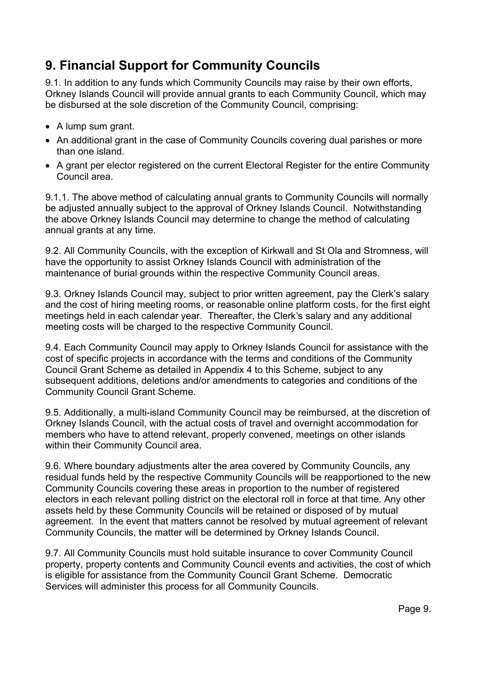### <span id="page-8-0"></span>**9. Financial Support for Community Councils**

9.1. In addition to any funds which Community Councils may raise by their own efforts, Orkney Islands Council will provide annual grants to each Community Council, which may be disbursed at the sole discretion of the Community Council, comprising:

- A lump sum grant.
- An additional grant in the case of Community Councils covering dual parishes or more than one island.
- A grant per elector registered on the current Electoral Register for the entire Community Council area.

9.1.1. The above method of calculating annual grants to Community Councils will normally be adjusted annually subject to the approval of Orkney Islands Council. Notwithstanding the above Orkney Islands Council may determine to change the method of calculating annual grants at any time.

9.2. All Community Councils, with the exception of Kirkwall and St Ola and Stromness, will have the opportunity to assist Orkney Islands Council with administration of the maintenance of burial grounds within the respective Community Council areas.

9.3. Orkney Islands Council may, subject to prior written agreement, pay the Clerk's salary and the cost of hiring meeting rooms, or reasonable online platform costs, for the first eight meetings held in each calendar year. Thereafter, the Clerk's salary and any additional meeting costs will be charged to the respective Community Council.

9.4. Each Community Council may apply to Orkney Islands Council for assistance with the cost of specific projects in accordance with the terms and conditions of the Community Council Grant Scheme as detailed in Appendix 4 to this Scheme, subject to any subsequent additions, deletions and/or amendments to categories and conditions of the Community Council Grant Scheme.

9.5. Additionally, a multi-island Community Council may be reimbursed, at the discretion of Orkney Islands Council, with the actual costs of travel and overnight accommodation for members who have to attend relevant, properly convened, meetings on other islands within their Community Council area.

9.6. Where boundary adjustments alter the area covered by Community Councils, any residual funds held by the respective Community Councils will be reapportioned to the new Community Councils covering these areas in proportion to the number of registered electors in each relevant polling district on the electoral roll in force at that time. Any other assets held by these Community Councils will be retained or disposed of by mutual agreement. In the event that matters cannot be resolved by mutual agreement of relevant Community Councils, the matter will be determined by Orkney Islands Council.

9.7. All Community Councils must hold suitable insurance to cover Community Council property, property contents and Community Council events and activities, the cost of which is eligible for assistance from the Community Council Grant Scheme. Democratic Services will administer this process for all Community Councils.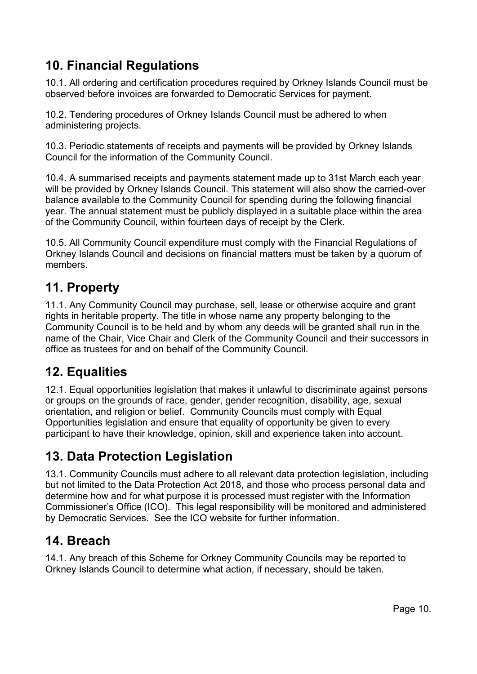# <span id="page-9-0"></span>**10. Financial Regulations**

10.1. All ordering and certification procedures required by Orkney Islands Council must be observed before invoices are forwarded to Democratic Services for payment.

10.2. Tendering procedures of Orkney Islands Council must be adhered to when administering projects.

10.3. Periodic statements of receipts and payments will be provided by Orkney Islands Council for the information of the Community Council.

10.4. A summarised receipts and payments statement made up to 31st March each year will be provided by Orkney Islands Council. This statement will also show the carried-over balance available to the Community Council for spending during the following financial year. The annual statement must be publicly displayed in a suitable place within the area of the Community Council, within fourteen days of receipt by the Clerk.

10.5. All Community Council expenditure must comply with the Financial Regulations of Orkney Islands Council and decisions on financial matters must be taken by a quorum of members.

### <span id="page-9-1"></span>**11. Property**

11.1. Any Community Council may purchase, sell, lease or otherwise acquire and grant rights in heritable property. The title in whose name any property belonging to the Community Council is to be held and by whom any deeds will be granted shall run in the name of the Chair, Vice Chair and Clerk of the Community Council and their successors in office as trustees for and on behalf of the Community Council.

### <span id="page-9-2"></span>**12. Equalities**

12.1. Equal opportunities legislation that makes it unlawful to discriminate against persons or groups on the grounds of race, gender, gender recognition, disability, age, sexual orientation, and religion or belief. Community Councils must comply with Equal Opportunities legislation and ensure that equality of opportunity be given to every participant to have their knowledge, opinion, skill and experience taken into account.

### <span id="page-9-3"></span>**13. Data Protection Legislation**

13.1. Community Councils must adhere to all relevant data protection legislation, including but not limited to the Data Protection Act 2018, and those who process personal data and determine how and for what purpose it is processed must register with the Information Commissioner's Office (ICO). This legal responsibility will be monitored and administered by Democratic Services. See the ICO website for further information.

### <span id="page-9-4"></span>**14. Breach**

14.1. Any breach of this Scheme for Orkney Community Councils may be reported to Orkney Islands Council to determine what action, if necessary, should be taken.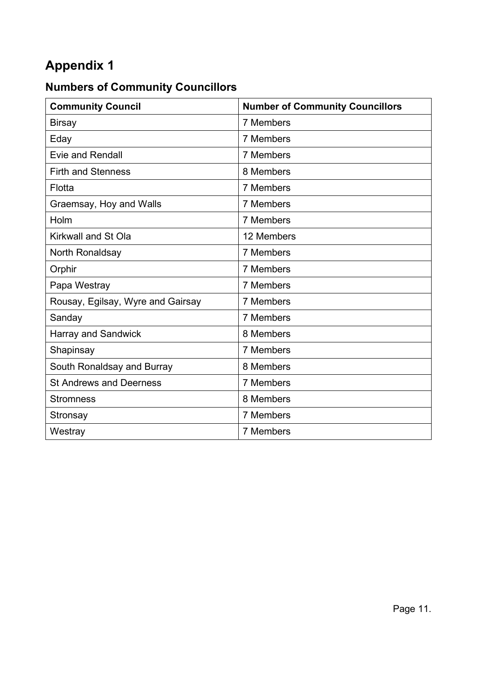# <span id="page-10-0"></span>**Appendix 1**

# <span id="page-10-1"></span>**Numbers of Community Councillors**

| <b>Community Council</b>          | <b>Number of Community Councillors</b> |
|-----------------------------------|----------------------------------------|
| <b>Birsay</b>                     | 7 Members                              |
| Eday                              | 7 Members                              |
| <b>Evie and Rendall</b>           | 7 Members                              |
| <b>Firth and Stenness</b>         | 8 Members                              |
| Flotta                            | 7 Members                              |
| Graemsay, Hoy and Walls           | 7 Members                              |
| Holm                              | 7 Members                              |
| Kirkwall and St Ola               | 12 Members                             |
| North Ronaldsay                   | 7 Members                              |
| Orphir                            | 7 Members                              |
| Papa Westray                      | 7 Members                              |
| Rousay, Egilsay, Wyre and Gairsay | 7 Members                              |
| Sanday                            | 7 Members                              |
| <b>Harray and Sandwick</b>        | 8 Members                              |
| Shapinsay                         | 7 Members                              |
| South Ronaldsay and Burray        | 8 Members                              |
| <b>St Andrews and Deerness</b>    | 7 Members                              |
| <b>Stromness</b>                  | 8 Members                              |
| Stronsay                          | 7 Members                              |
| Westray                           | 7 Members                              |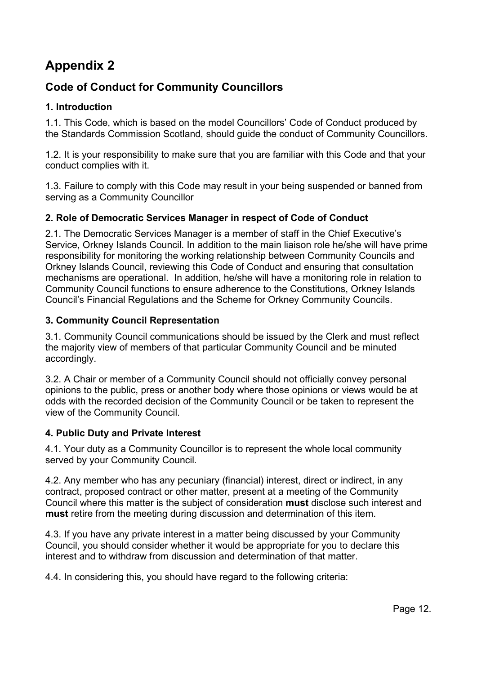# <span id="page-11-0"></span>**Appendix 2**

### <span id="page-11-1"></span>**Code of Conduct for Community Councillors**

#### **1. Introduction**

1.1. This Code, which is based on the model Councillors' Code of Conduct produced by the Standards Commission Scotland, should guide the conduct of Community Councillors.

1.2. It is your responsibility to make sure that you are familiar with this Code and that your conduct complies with it.

1.3. Failure to comply with this Code may result in your being suspended or banned from serving as a Community Councillor

#### **2. Role of Democratic Services Manager in respect of Code of Conduct**

2.1. The Democratic Services Manager is a member of staff in the Chief Executive's Service, Orkney Islands Council. In addition to the main liaison role he/she will have prime responsibility for monitoring the working relationship between Community Councils and Orkney Islands Council, reviewing this Code of Conduct and ensuring that consultation mechanisms are operational. In addition, he/she will have a monitoring role in relation to Community Council functions to ensure adherence to the Constitutions, Orkney Islands Council's Financial Regulations and the Scheme for Orkney Community Councils.

#### **3. Community Council Representation**

3.1. Community Council communications should be issued by the Clerk and must reflect the majority view of members of that particular Community Council and be minuted accordingly.

3.2. A Chair or member of a Community Council should not officially convey personal opinions to the public, press or another body where those opinions or views would be at odds with the recorded decision of the Community Council or be taken to represent the view of the Community Council.

#### **4. Public Duty and Private Interest**

4.1. Your duty as a Community Councillor is to represent the whole local community served by your Community Council.

4.2. Any member who has any pecuniary (financial) interest, direct or indirect, in any contract, proposed contract or other matter, present at a meeting of the Community Council where this matter is the subject of consideration **must** disclose such interest and **must** retire from the meeting during discussion and determination of this item.

4.3. If you have any private interest in a matter being discussed by your Community Council, you should consider whether it would be appropriate for you to declare this interest and to withdraw from discussion and determination of that matter.

4.4. In considering this, you should have regard to the following criteria: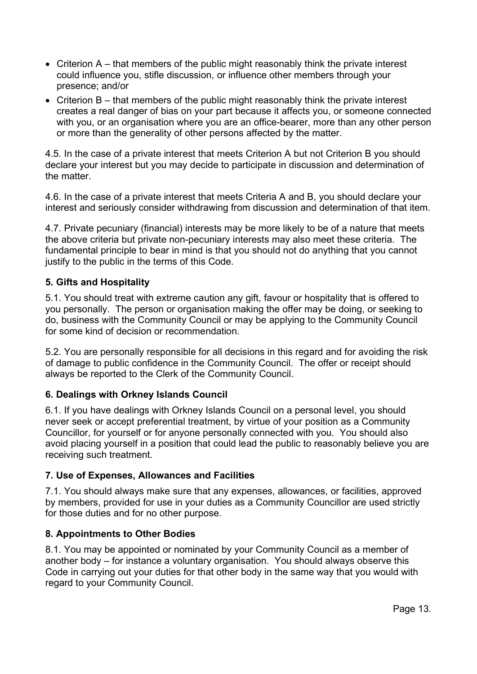- Criterion A that members of the public might reasonably think the private interest could influence you, stifle discussion, or influence other members through your presence; and/or
- Criterion B that members of the public might reasonably think the private interest creates a real danger of bias on your part because it affects you, or someone connected with you, or an organisation where you are an office-bearer, more than any other person or more than the generality of other persons affected by the matter.

4.5. In the case of a private interest that meets Criterion A but not Criterion B you should declare your interest but you may decide to participate in discussion and determination of the matter.

4.6. In the case of a private interest that meets Criteria A and B, you should declare your interest and seriously consider withdrawing from discussion and determination of that item.

4.7. Private pecuniary (financial) interests may be more likely to be of a nature that meets the above criteria but private non-pecuniary interests may also meet these criteria. The fundamental principle to bear in mind is that you should not do anything that you cannot justify to the public in the terms of this Code.

#### **5. Gifts and Hospitality**

5.1. You should treat with extreme caution any gift, favour or hospitality that is offered to you personally. The person or organisation making the offer may be doing, or seeking to do, business with the Community Council or may be applying to the Community Council for some kind of decision or recommendation.

5.2. You are personally responsible for all decisions in this regard and for avoiding the risk of damage to public confidence in the Community Council. The offer or receipt should always be reported to the Clerk of the Community Council.

#### **6. Dealings with Orkney Islands Council**

6.1. If you have dealings with Orkney Islands Council on a personal level, you should never seek or accept preferential treatment, by virtue of your position as a Community Councillor, for yourself or for anyone personally connected with you. You should also avoid placing yourself in a position that could lead the public to reasonably believe you are receiving such treatment.

#### **7. Use of Expenses, Allowances and Facilities**

7.1. You should always make sure that any expenses, allowances, or facilities, approved by members, provided for use in your duties as a Community Councillor are used strictly for those duties and for no other purpose.

#### **8. Appointments to Other Bodies**

8.1. You may be appointed or nominated by your Community Council as a member of another body – for instance a voluntary organisation. You should always observe this Code in carrying out your duties for that other body in the same way that you would with regard to your Community Council.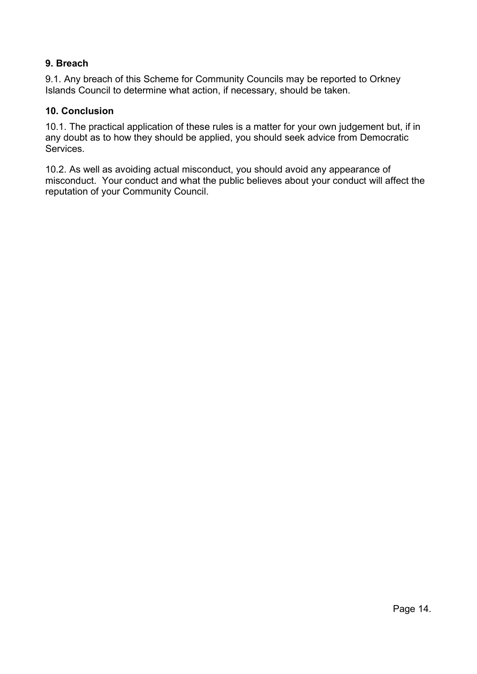#### **9. Breach**

9.1. Any breach of this Scheme for Community Councils may be reported to Orkney Islands Council to determine what action, if necessary, should be taken.

#### **10. Conclusion**

10.1. The practical application of these rules is a matter for your own judgement but, if in any doubt as to how they should be applied, you should seek advice from Democratic Services.

10.2. As well as avoiding actual misconduct, you should avoid any appearance of misconduct. Your conduct and what the public believes about your conduct will affect the reputation of your Community Council.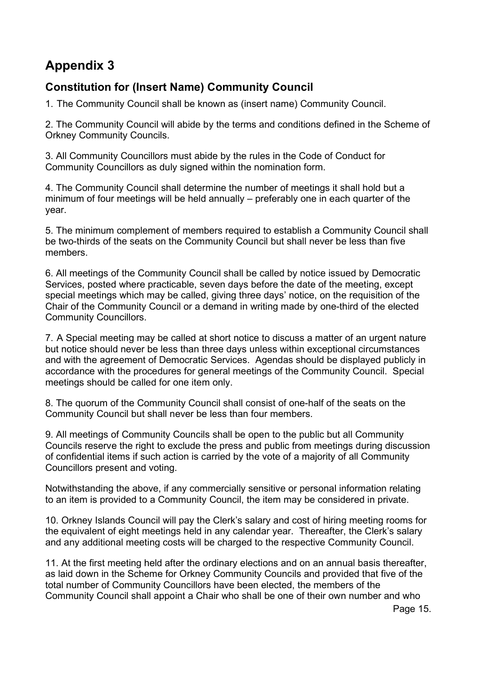# <span id="page-14-0"></span>**Appendix 3**

### <span id="page-14-1"></span>**Constitution for (Insert Name) Community Council**

1. The Community Council shall be known as (insert name) Community Council.

2. The Community Council will abide by the terms and conditions defined in the Scheme of Orkney Community Councils.

3. All Community Councillors must abide by the rules in the Code of Conduct for Community Councillors as duly signed within the nomination form.

4. The Community Council shall determine the number of meetings it shall hold but a minimum of four meetings will be held annually – preferably one in each quarter of the year.

5. The minimum complement of members required to establish a Community Council shall be two-thirds of the seats on the Community Council but shall never be less than five members.

6. All meetings of the Community Council shall be called by notice issued by Democratic Services, posted where practicable, seven days before the date of the meeting, except special meetings which may be called, giving three days' notice, on the requisition of the Chair of the Community Council or a demand in writing made by one-third of the elected Community Councillors.

7. A Special meeting may be called at short notice to discuss a matter of an urgent nature but notice should never be less than three days unless within exceptional circumstances and with the agreement of Democratic Services. Agendas should be displayed publicly in accordance with the procedures for general meetings of the Community Council. Special meetings should be called for one item only.

8. The quorum of the Community Council shall consist of one-half of the seats on the Community Council but shall never be less than four members.

9. All meetings of Community Councils shall be open to the public but all Community Councils reserve the right to exclude the press and public from meetings during discussion of confidential items if such action is carried by the vote of a majority of all Community Councillors present and voting.

Notwithstanding the above, if any commercially sensitive or personal information relating to an item is provided to a Community Council, the item may be considered in private.

10. Orkney Islands Council will pay the Clerk's salary and cost of hiring meeting rooms for the equivalent of eight meetings held in any calendar year. Thereafter, the Clerk's salary and any additional meeting costs will be charged to the respective Community Council.

11. At the first meeting held after the ordinary elections and on an annual basis thereafter, as laid down in the Scheme for Orkney Community Councils and provided that five of the total number of Community Councillors have been elected, the members of the Community Council shall appoint a Chair who shall be one of their own number and who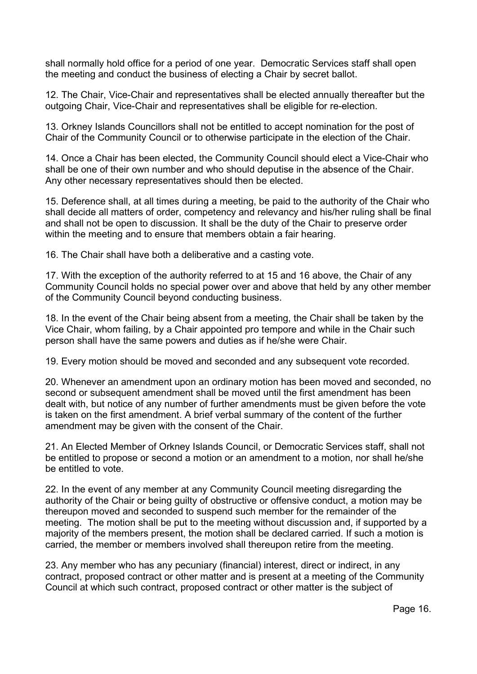shall normally hold office for a period of one year. Democratic Services staff shall open the meeting and conduct the business of electing a Chair by secret ballot.

12. The Chair, Vice-Chair and representatives shall be elected annually thereafter but the outgoing Chair, Vice-Chair and representatives shall be eligible for re-election.

13. Orkney Islands Councillors shall not be entitled to accept nomination for the post of Chair of the Community Council or to otherwise participate in the election of the Chair.

14. Once a Chair has been elected, the Community Council should elect a Vice-Chair who shall be one of their own number and who should deputise in the absence of the Chair. Any other necessary representatives should then be elected.

15. Deference shall, at all times during a meeting, be paid to the authority of the Chair who shall decide all matters of order, competency and relevancy and his/her ruling shall be final and shall not be open to discussion. It shall be the duty of the Chair to preserve order within the meeting and to ensure that members obtain a fair hearing.

16. The Chair shall have both a deliberative and a casting vote.

17. With the exception of the authority referred to at 15 and 16 above, the Chair of any Community Council holds no special power over and above that held by any other member of the Community Council beyond conducting business.

18. In the event of the Chair being absent from a meeting, the Chair shall be taken by the Vice Chair, whom failing, by a Chair appointed pro tempore and while in the Chair such person shall have the same powers and duties as if he/she were Chair.

19. Every motion should be moved and seconded and any subsequent vote recorded.

20. Whenever an amendment upon an ordinary motion has been moved and seconded, no second or subsequent amendment shall be moved until the first amendment has been dealt with, but notice of any number of further amendments must be given before the vote is taken on the first amendment. A brief verbal summary of the content of the further amendment may be given with the consent of the Chair.

21. An Elected Member of Orkney Islands Council, or Democratic Services staff, shall not be entitled to propose or second a motion or an amendment to a motion, nor shall he/she be entitled to vote.

22. In the event of any member at any Community Council meeting disregarding the authority of the Chair or being guilty of obstructive or offensive conduct, a motion may be thereupon moved and seconded to suspend such member for the remainder of the meeting. The motion shall be put to the meeting without discussion and, if supported by a majority of the members present, the motion shall be declared carried. If such a motion is carried, the member or members involved shall thereupon retire from the meeting.

23. Any member who has any pecuniary (financial) interest, direct or indirect, in any contract, proposed contract or other matter and is present at a meeting of the Community Council at which such contract, proposed contract or other matter is the subject of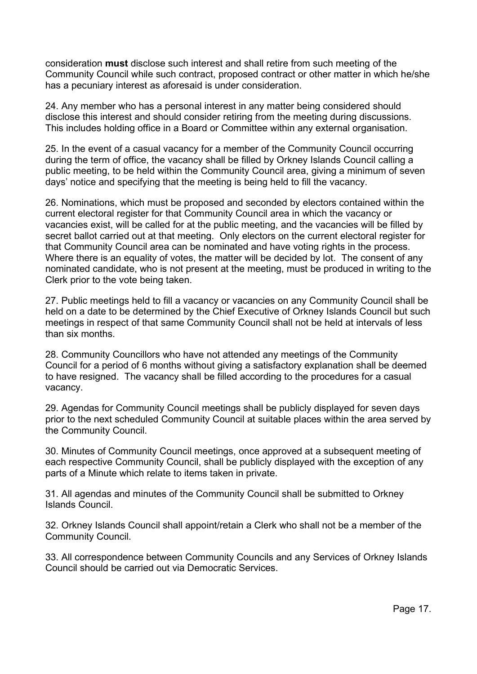consideration **must** disclose such interest and shall retire from such meeting of the Community Council while such contract, proposed contract or other matter in which he/she has a pecuniary interest as aforesaid is under consideration.

24. Any member who has a personal interest in any matter being considered should disclose this interest and should consider retiring from the meeting during discussions. This includes holding office in a Board or Committee within any external organisation.

25. In the event of a casual vacancy for a member of the Community Council occurring during the term of office, the vacancy shall be filled by Orkney Islands Council calling a public meeting, to be held within the Community Council area, giving a minimum of seven days' notice and specifying that the meeting is being held to fill the vacancy.

26. Nominations, which must be proposed and seconded by electors contained within the current electoral register for that Community Council area in which the vacancy or vacancies exist, will be called for at the public meeting, and the vacancies will be filled by secret ballot carried out at that meeting. Only electors on the current electoral register for that Community Council area can be nominated and have voting rights in the process. Where there is an equality of votes, the matter will be decided by lot. The consent of any nominated candidate, who is not present at the meeting, must be produced in writing to the Clerk prior to the vote being taken.

27. Public meetings held to fill a vacancy or vacancies on any Community Council shall be held on a date to be determined by the Chief Executive of Orkney Islands Council but such meetings in respect of that same Community Council shall not be held at intervals of less than six months.

28. Community Councillors who have not attended any meetings of the Community Council for a period of 6 months without giving a satisfactory explanation shall be deemed to have resigned. The vacancy shall be filled according to the procedures for a casual vacancy.

29. Agendas for Community Council meetings shall be publicly displayed for seven days prior to the next scheduled Community Council at suitable places within the area served by the Community Council.

30. Minutes of Community Council meetings, once approved at a subsequent meeting of each respective Community Council, shall be publicly displayed with the exception of any parts of a Minute which relate to items taken in private.

31. All agendas and minutes of the Community Council shall be submitted to Orkney Islands Council.

32. Orkney Islands Council shall appoint/retain a Clerk who shall not be a member of the Community Council.

33. All correspondence between Community Councils and any Services of Orkney Islands Council should be carried out via Democratic Services.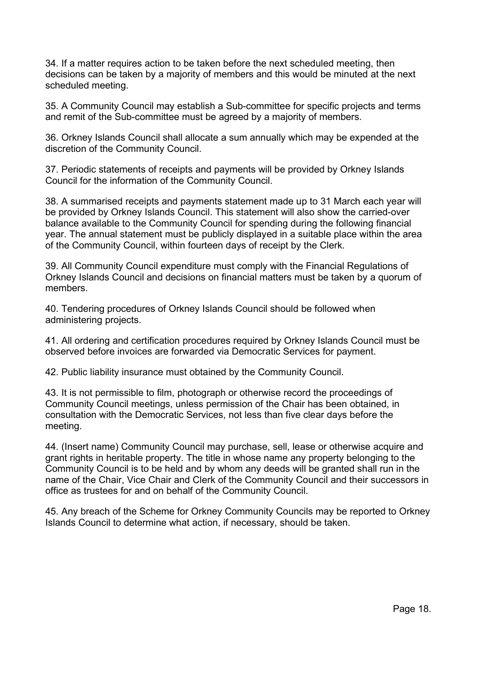34. If a matter requires action to be taken before the next scheduled meeting, then decisions can be taken by a majority of members and this would be minuted at the next scheduled meeting.

35. A Community Council may establish a Sub-committee for specific projects and terms and remit of the Sub-committee must be agreed by a majority of members.

36. Orkney Islands Council shall allocate a sum annually which may be expended at the discretion of the Community Council.

37. Periodic statements of receipts and payments will be provided by Orkney Islands Council for the information of the Community Council.

38. A summarised receipts and payments statement made up to 31 March each year will be provided by Orkney Islands Council. This statement will also show the carried-over balance available to the Community Council for spending during the following financial year. The annual statement must be publicly displayed in a suitable place within the area of the Community Council, within fourteen days of receipt by the Clerk.

39. All Community Council expenditure must comply with the Financial Regulations of Orkney Islands Council and decisions on financial matters must be taken by a quorum of members.

40. Tendering procedures of Orkney Islands Council should be followed when administering projects.

41. All ordering and certification procedures required by Orkney Islands Council must be observed before invoices are forwarded via Democratic Services for payment.

42. Public liability insurance must obtained by the Community Council.

43. It is not permissible to film, photograph or otherwise record the proceedings of Community Council meetings, unless permission of the Chair has been obtained, in consultation with the Democratic Services, not less than five clear days before the meeting.

44. (Insert name) Community Council may purchase, sell, lease or otherwise acquire and grant rights in heritable property. The title in whose name any property belonging to the Community Council is to be held and by whom any deeds will be granted shall run in the name of the Chair, Vice Chair and Clerk of the Community Council and their successors in office as trustees for and on behalf of the Community Council.

45. Any breach of the Scheme for Orkney Community Councils may be reported to Orkney Islands Council to determine what action, if necessary, should be taken.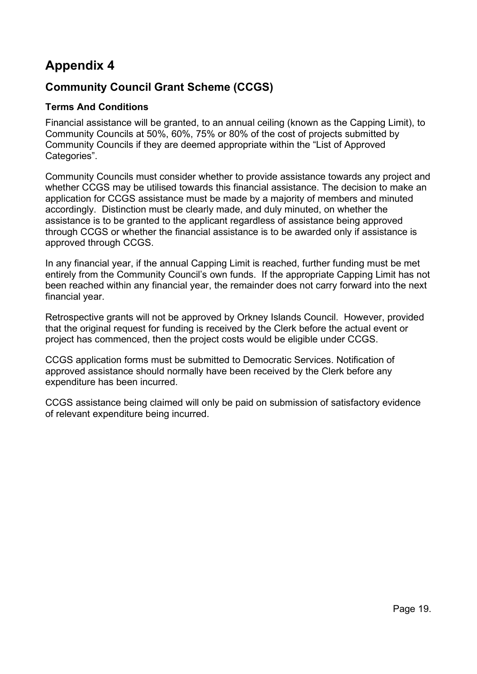### <span id="page-18-0"></span>**Appendix 4**

### <span id="page-18-1"></span>**Community Council Grant Scheme (CCGS)**

#### **Terms And Conditions**

Financial assistance will be granted, to an annual ceiling (known as the Capping Limit), to Community Councils at 50%, 60%, 75% or 80% of the cost of projects submitted by Community Councils if they are deemed appropriate within the "List of Approved Categories".

Community Councils must consider whether to provide assistance towards any project and whether CCGS may be utilised towards this financial assistance. The decision to make an application for CCGS assistance must be made by a majority of members and minuted accordingly. Distinction must be clearly made, and duly minuted, on whether the assistance is to be granted to the applicant regardless of assistance being approved through CCGS or whether the financial assistance is to be awarded only if assistance is approved through CCGS.

In any financial year, if the annual Capping Limit is reached, further funding must be met entirely from the Community Council's own funds. If the appropriate Capping Limit has not been reached within any financial year, the remainder does not carry forward into the next financial year.

Retrospective grants will not be approved by Orkney Islands Council. However, provided that the original request for funding is received by the Clerk before the actual event or project has commenced, then the project costs would be eligible under CCGS.

CCGS application forms must be submitted to Democratic Services. Notification of approved assistance should normally have been received by the Clerk before any expenditure has been incurred.

CCGS assistance being claimed will only be paid on submission of satisfactory evidence of relevant expenditure being incurred.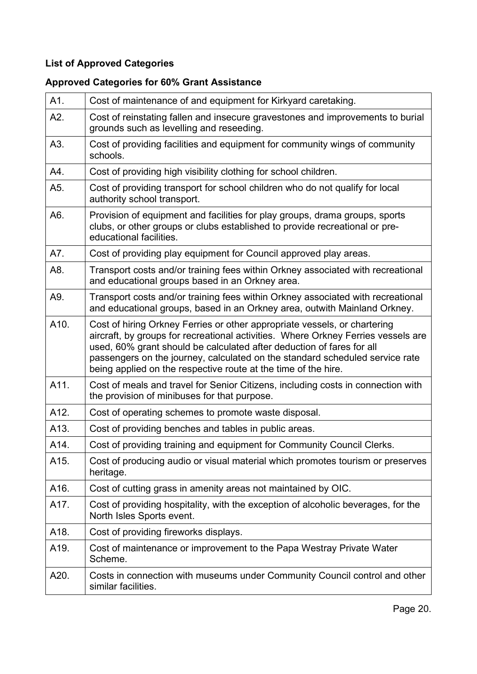### **List of Approved Categories**

### **Approved Categories for 60% Grant Assistance**

| A1.  | Cost of maintenance of and equipment for Kirkyard caretaking.                                                                                                                                                                                                                                                                                                                             |
|------|-------------------------------------------------------------------------------------------------------------------------------------------------------------------------------------------------------------------------------------------------------------------------------------------------------------------------------------------------------------------------------------------|
| A2.  | Cost of reinstating fallen and insecure gravestones and improvements to burial<br>grounds such as levelling and reseeding.                                                                                                                                                                                                                                                                |
| A3.  | Cost of providing facilities and equipment for community wings of community<br>schools.                                                                                                                                                                                                                                                                                                   |
| A4.  | Cost of providing high visibility clothing for school children.                                                                                                                                                                                                                                                                                                                           |
| A5.  | Cost of providing transport for school children who do not qualify for local<br>authority school transport.                                                                                                                                                                                                                                                                               |
| A6.  | Provision of equipment and facilities for play groups, drama groups, sports<br>clubs, or other groups or clubs established to provide recreational or pre-<br>educational facilities.                                                                                                                                                                                                     |
| A7.  | Cost of providing play equipment for Council approved play areas.                                                                                                                                                                                                                                                                                                                         |
| A8.  | Transport costs and/or training fees within Orkney associated with recreational<br>and educational groups based in an Orkney area.                                                                                                                                                                                                                                                        |
| A9.  | Transport costs and/or training fees within Orkney associated with recreational<br>and educational groups, based in an Orkney area, outwith Mainland Orkney.                                                                                                                                                                                                                              |
| A10. | Cost of hiring Orkney Ferries or other appropriate vessels, or chartering<br>aircraft, by groups for recreational activities. Where Orkney Ferries vessels are<br>used, 60% grant should be calculated after deduction of fares for all<br>passengers on the journey, calculated on the standard scheduled service rate<br>being applied on the respective route at the time of the hire. |
| A11. | Cost of meals and travel for Senior Citizens, including costs in connection with<br>the provision of minibuses for that purpose.                                                                                                                                                                                                                                                          |
| A12. | Cost of operating schemes to promote waste disposal.                                                                                                                                                                                                                                                                                                                                      |
| A13. | Cost of providing benches and tables in public areas.                                                                                                                                                                                                                                                                                                                                     |
| A14. | Cost of providing training and equipment for Community Council Clerks.                                                                                                                                                                                                                                                                                                                    |
| A15. | Cost of producing audio or visual material which promotes tourism or preserves<br>heritage.                                                                                                                                                                                                                                                                                               |
| A16. | Cost of cutting grass in amenity areas not maintained by OIC.                                                                                                                                                                                                                                                                                                                             |
| A17. | Cost of providing hospitality, with the exception of alcoholic beverages, for the<br>North Isles Sports event.                                                                                                                                                                                                                                                                            |
| A18. | Cost of providing fireworks displays.                                                                                                                                                                                                                                                                                                                                                     |
| A19. | Cost of maintenance or improvement to the Papa Westray Private Water<br>Scheme.                                                                                                                                                                                                                                                                                                           |
| A20. | Costs in connection with museums under Community Council control and other<br>similar facilities.                                                                                                                                                                                                                                                                                         |